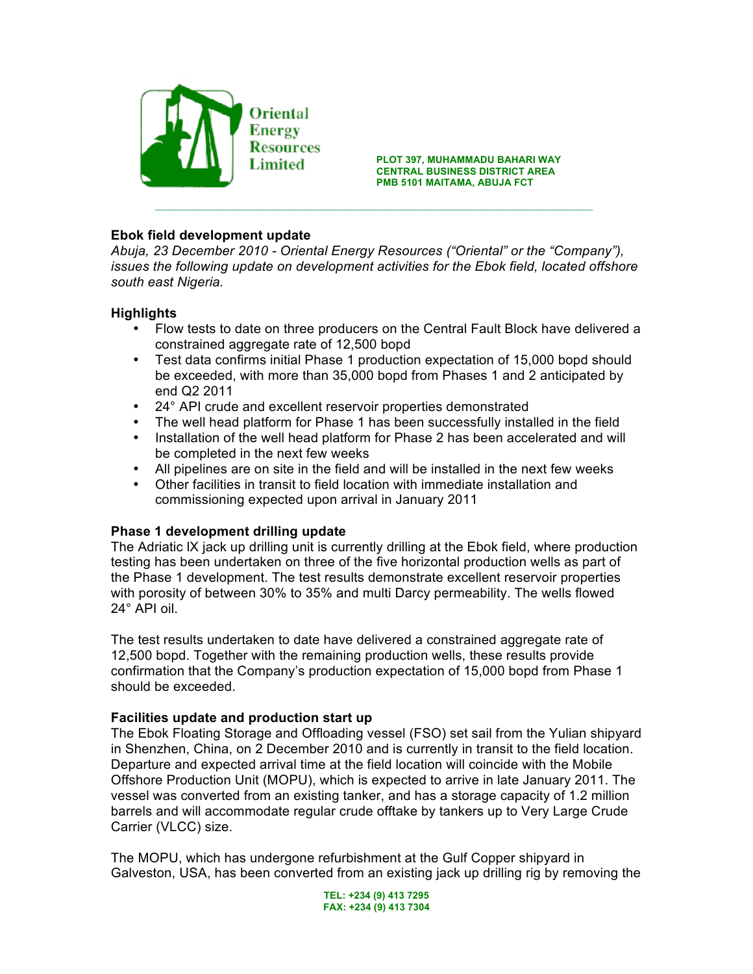

**PLOT 397, MUHAMMADU BAHARI WAY Example 2** ELOT 397, MUHAMMADU BAHARI WAY<br>CENTRAL BUSINESS DISTRICT AREA **PMB 5101 MAITAMA, ABUJA FCT**

## **Ebok field development update**

*Abuja, 23 December 2010 - Oriental Energy Resources ("Oriental" or the "Company"), issues the following update on development activities for the Ebok field, located offshore south east Nigeria.*

 $\_$  ,  $\mathcal{I}_1$  ,  $\mathcal{I}_2$  ,  $\mathcal{I}_3$  ,  $\mathcal{I}_4$  ,  $\mathcal{I}_5$  ,  $\mathcal{I}_6$  ,  $\mathcal{I}_7$  ,  $\mathcal{I}_8$  ,  $\mathcal{I}_9$  ,  $\mathcal{I}_9$  ,  $\mathcal{I}_9$  ,  $\mathcal{I}_9$  ,  $\mathcal{I}_9$  ,  $\mathcal{I}_9$  ,  $\mathcal{I}_9$  ,  $\mathcal{I}_9$  ,  $\mathcal{I}_9$  ,  $\mathcal{I}_9$  ,

### **Highlights**

- Flow tests to date on three producers on the Central Fault Block have delivered a constrained aggregate rate of 12,500 bopd
- Test data confirms initial Phase 1 production expectation of 15,000 bopd should be exceeded, with more than 35,000 bopd from Phases 1 and 2 anticipated by end Q2 2011
- 24° API crude and excellent reservoir properties demonstrated
- The well head platform for Phase 1 has been successfully installed in the field
- Installation of the well head platform for Phase 2 has been accelerated and will be completed in the next few weeks
- All pipelines are on site in the field and will be installed in the next few weeks
- Other facilities in transit to field location with immediate installation and commissioning expected upon arrival in January 2011

# **Phase 1 development drilling update**

The Adriatic lX jack up drilling unit is currently drilling at the Ebok field, where production testing has been undertaken on three of the five horizontal production wells as part of the Phase 1 development. The test results demonstrate excellent reservoir properties with porosity of between 30% to 35% and multi Darcy permeability. The wells flowed 24° API oil.

The test results undertaken to date have delivered a constrained aggregate rate of 12,500 bopd. Together with the remaining production wells, these results provide confirmation that the Company's production expectation of 15,000 bopd from Phase 1 should be exceeded.

#### **Facilities update and production start up**

The Ebok Floating Storage and Offloading vessel (FSO) set sail from the Yulian shipyard in Shenzhen, China, on 2 December 2010 and is currently in transit to the field location. Departure and expected arrival time at the field location will coincide with the Mobile Offshore Production Unit (MOPU), which is expected to arrive in late January 2011. The vessel was converted from an existing tanker, and has a storage capacity of 1.2 million barrels and will accommodate regular crude offtake by tankers up to Very Large Crude Carrier (VLCC) size.

The MOPU, which has undergone refurbishment at the Gulf Copper shipyard in Galveston, USA, has been converted from an existing jack up drilling rig by removing the

> **TEL: +234 (9) 413 7295 FAX: +234 (9) 413 7304**